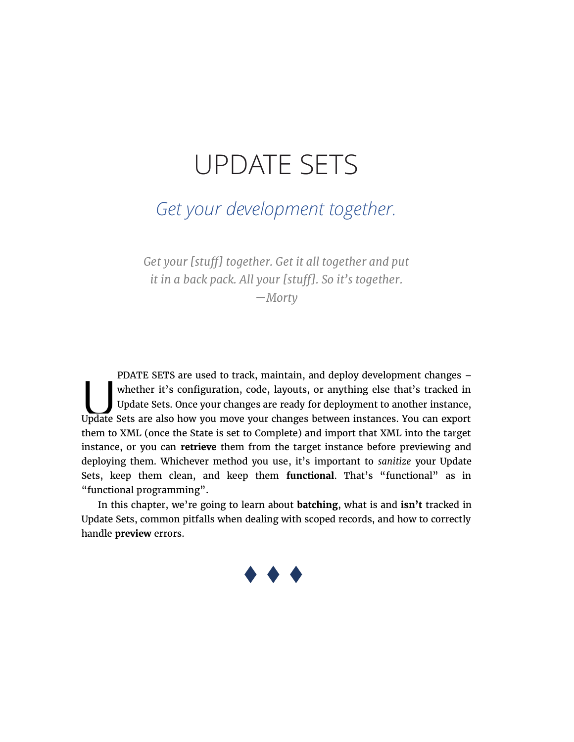# UPDATE SETS

## Get your development together.

Get your [stuff] together. Get it all together and put it in a back pack. All your [stuff]. So it's together.

—Morty

PDATE SETS are used to track, maintain, and deploy development changes – whether it's configuration, code, layouts, or anything else that's tracked in Update Sets. Once your changes are ready for deployment to another instance, Whether it's configuration, code, layouts, or anything else that's tracked in Update Sets. Once your changes are ready for deployment to another instance, Update Sets are also how you move your changes between instances. Y them to XML (once the State is set to Complete) and import that XML into the target instance, or you can retrieve them from the target instance before previewing and deploying them. Whichever method you use, it's important to sanitize your Update Sets, keep them clean, and keep them functional. That's "functional" as in "functional programming".

In this chapter, we're going to learn about batching, what is and isn't tracked in Update Sets, common pitfalls when dealing with scoped records, and how to correctly handle preview errors.

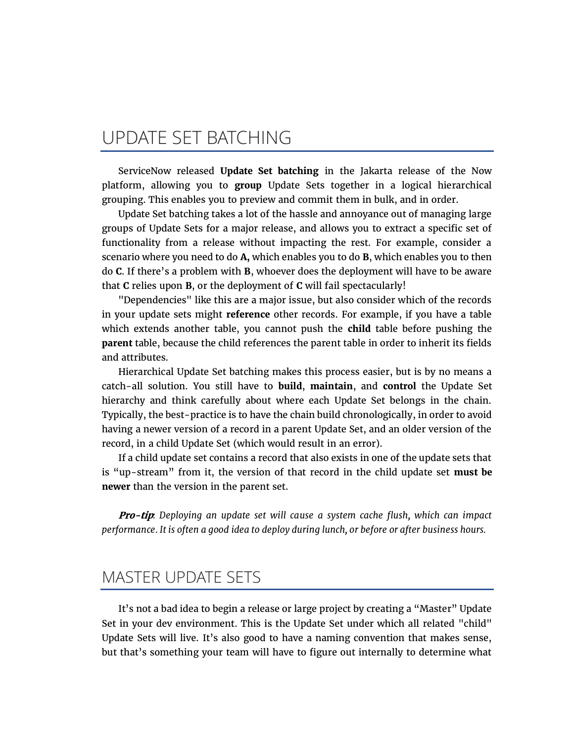### UPDATE SET BATCHING

ServiceNow released Update Set batching in the Jakarta release of the Now platform, allowing you to group Update Sets together in a logical hierarchical grouping. This enables you to preview and commit them in bulk, and in order.

Update Set batching takes a lot of the hassle and annoyance out of managing large groups of Update Sets for a major release, and allows you to extract a specific set of functionality from a release without impacting the rest. For example, consider a scenario where you need to do A, which enables you to do B, which enables you to then do C. If there's a problem with B, whoever does the deployment will have to be aware that C relies upon B, or the deployment of C will fail spectacularly!

"Dependencies" like this are a major issue, but also consider which of the records in your update sets might reference other records. For example, if you have a table which extends another table, you cannot push the **child** table before pushing the parent table, because the child references the parent table in order to inherit its fields and attributes.

Hierarchical Update Set batching makes this process easier, but is by no means a catch-all solution. You still have to build, maintain, and control the Update Set hierarchy and think carefully about where each Update Set belongs in the chain. Typically, the best-practice is to have the chain build chronologically, in order to avoid having a newer version of a record in a parent Update Set, and an older version of the record, in a child Update Set (which would result in an error).

If a child update set contains a record that also exists in one of the update sets that is "up-stream" from it, the version of that record in the child update set must be newer than the version in the parent set.

**Pro-tip:** Deploying an update set will cause a system cache flush, which can impact performance. It is often a good idea to deploy during lunch, or before or after business hours.

#### MASTER UPDATE SETS

It's not a bad idea to begin a release or large project by creating a "Master" Update Set in your dev environment. This is the Update Set under which all related "child" Update Sets will live. It's also good to have a naming convention that makes sense, but that's something your team will have to figure out internally to determine what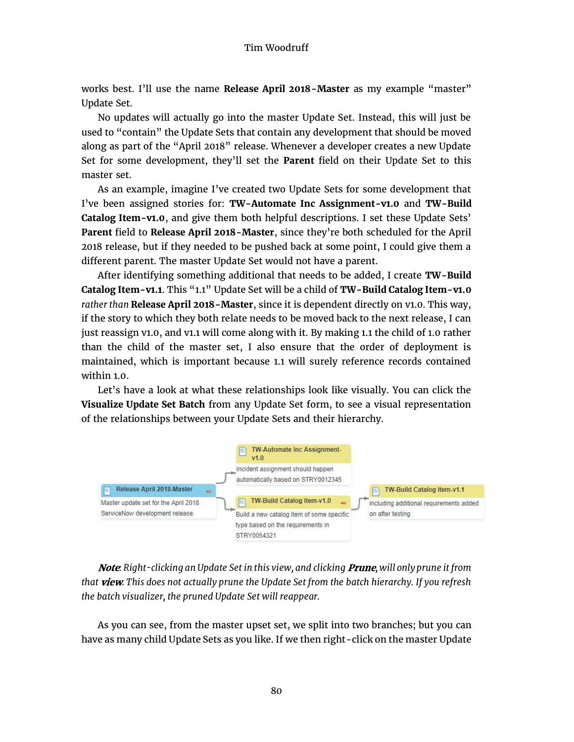works best. I'll use the name Release April 2018-Master as my example "master" Update Set.

No updates will actually go into the master Update Set. Instead, this will just be used to "contain" the Update Sets that contain any development that should be moved along as part of the "April 2018" release. Whenever a developer creates a new Update Set for some development, they'll set the Parent field on their Update Set to this master set.

As an example, imagine I've created two Update Sets for some development that I've been assigned stories for: TW-Automate Inc Assignment-v1.0 and TW-Build Catalog Item-v1.0, and give them both helpful descriptions. I set these Update Sets' Parent field to Release April 2018-Master, since they're both scheduled for the April 2018 release, but if they needed to be pushed back at some point, I could give them a different parent. The master Update Set would not have a parent.

After identifying something additional that needs to be added, I create TW-Build Catalog Item-v1.1. This "1.1" Update Set will be a child of TW-Build Catalog Item-v1.0 rather than Release April 2018-Master, since it is dependent directly on v1.0. This way, if the story to which they both relate needs to be moved back to the next release, I can just reassign v1.0, and v1.1 will come along with it. By making 1.1 the child of 1.0 rather than the child of the master set, I also ensure that the order of deployment is maintained, which is important because 1.1 will surely reference records contained within 1.0.

Let's have a look at what these relationships look like visually. You can click the Visualize Update Set Batch from any Update Set form, to see a visual representation of the relationships between your Update Sets and their hierarchy.



Note: Right-clicking an Update Set in this view, and clicking Prune, will only prune it from that view. This does not actually prune the Update Set from the batch hierarchy. If you refresh the batch visualizer, the pruned Update Set will reappear.

As you can see, from the master upset set, we split into two branches; but you can have as many child Update Sets as you like. If we then right-click on the master Update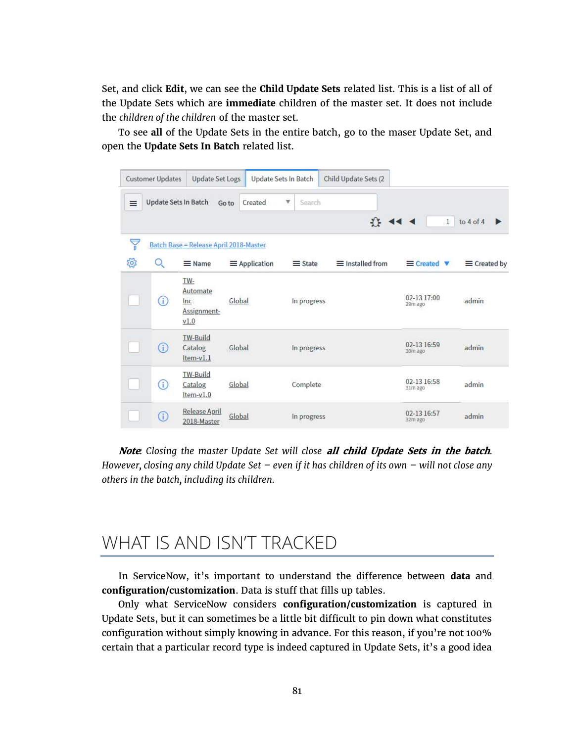Set, and click Edit, we can see the Child Update Sets related list. This is a list of all of the Update Sets which are immediate children of the master set. It does not include the children of the children of the master set.

To see all of the Update Sets in the entire batch, go to the maser Update Set, and open the Update Sets In Batch related list.

| <b>Customer Updates</b><br><b>Update Set Logs</b><br>Update Sets In Batch<br>Child Update Sets (2 |         |                                               |                      |                |                         |                                  |                     |
|---------------------------------------------------------------------------------------------------|---------|-----------------------------------------------|----------------------|----------------|-------------------------|----------------------------------|---------------------|
| $\equiv$                                                                                          |         | Update Sets In Batch                          | Created<br>Go to     | Search<br>v.   |                         |                                  |                     |
|                                                                                                   |         |                                               |                      |                | $45 - 44 - 4$           | $\mathbf{1}$                     | to $4$ of $4$<br>Þ  |
| P<br><b>Batch Base = Release April 2018-Master</b>                                                |         |                                               |                      |                |                         |                                  |                     |
| 503                                                                                               | O       | $\equiv$ Name                                 | $\equiv$ Application | $\equiv$ State | $\equiv$ Installed from | $\equiv$ Created $\triangledown$ | $\equiv$ Created by |
|                                                                                                   | ⊙       | TW-<br>Automate<br>Inc<br>Assignment-<br>V1.0 | Global               | In progress    |                         | 02-13 17:00<br>29m ago           | admin               |
|                                                                                                   | $\circ$ | <b>TW-Build</b><br>Catalog<br>Item-v1.1       | Global               | In progress    |                         | 02-13 16:59<br>30m ago           | admin               |
|                                                                                                   | ⊙       | <b>TW-Build</b><br>Catalog<br>Item-v1.0       | Global               | Complete       |                         | 02-13 16:58<br>31m ago           | admin               |
|                                                                                                   | ⋒       | Release April<br>2018-Master                  | Global               | In progress    |                         | 02-13 16:57<br>32m ago           | admin               |

Note: Closing the master Update Set will close all child Update Sets in the batch. However, closing any child Update Set  $-$  even if it has children of its own  $-$  will not close any others in the batch, including its children.

### WHAT IS AND ISN'T TRACKED

In ServiceNow, it's important to understand the difference between data and configuration/customization. Data is stuff that fills up tables.

Only what ServiceNow considers configuration/customization is captured in Update Sets, but it can sometimes be a little bit difficult to pin down what constitutes configuration without simply knowing in advance. For this reason, if you're not 100% certain that a particular record type is indeed captured in Update Sets, it's a good idea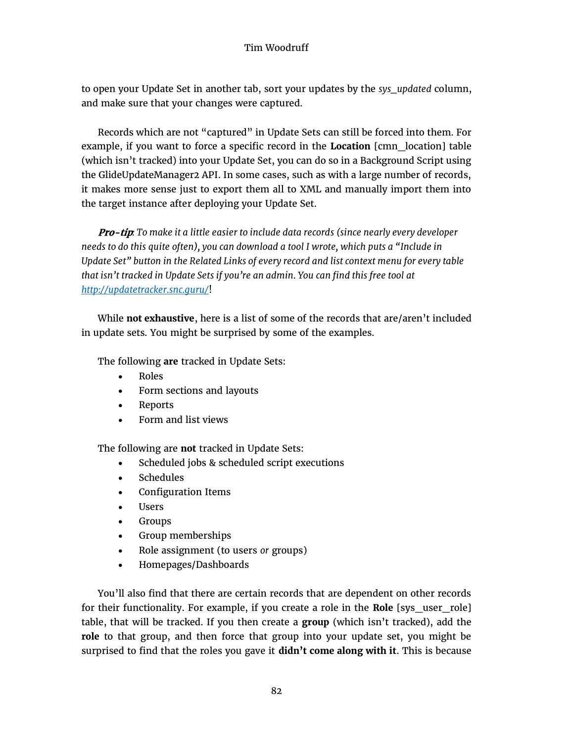#### Tim Woodruff

to open your Update Set in another tab, sort your updates by the sys\_updated column, and make sure that your changes were captured.

Records which are not "captured" in Update Sets can still be forced into them. For example, if you want to force a specific record in the Location [cmn\_location] table (which isn't tracked) into your Update Set, you can do so in a Background Script using the GlideUpdateManager2 API. In some cases, such as with a large number of records, it makes more sense just to export them all to XML and manually import them into the target instance after deploying your Update Set.

Pro-tip: To make it a little easier to include data records (since nearly every developer needs to do this quite often), you can download a tool I wrote, which puts a "Include in Update Set" button in the Related Links of every record and list context menu for every table that isn't tracked in Update Sets if you're an admin. You can find this free tool at http://updatetracker.snc.guru/!

While not exhaustive, here is a list of some of the records that are/aren't included in update sets. You might be surprised by some of the examples.

The following are tracked in Update Sets:

- Roles
- Form sections and layouts
- Reports
- Form and list views

The following are not tracked in Update Sets:

- Scheduled jobs & scheduled script executions
- Schedules
- Configuration Items
- Users
- Groups
- Group memberships
- Role assignment (to users or groups)
- x Homepages/Dashboards

You'll also find that there are certain records that are dependent on other records for their functionality. For example, if you create a role in the Role [sys\_user\_role] table, that will be tracked. If you then create a group (which isn't tracked), add the role to that group, and then force that group into your update set, you might be surprised to find that the roles you gave it didn't come along with it. This is because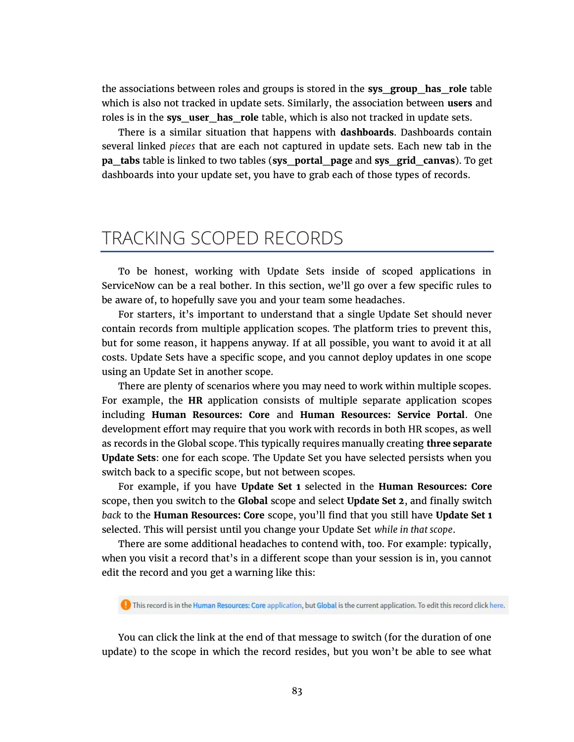the associations between roles and groups is stored in the sys\_group\_has\_role table which is also not tracked in update sets. Similarly, the association between users and roles is in the sys user has role table, which is also not tracked in update sets.

There is a similar situation that happens with **dashboards**. Dashboards contain several linked pieces that are each not captured in update sets. Each new tab in the pa\_tabs table is linked to two tables (sys\_portal\_page and sys\_grid\_canvas). To get dashboards into your update set, you have to grab each of those types of records.

#### TRACKING SCOPED RECORDS

To be honest, working with Update Sets inside of scoped applications in ServiceNow can be a real bother. In this section, we'll go over a few specific rules to be aware of, to hopefully save you and your team some headaches.

For starters, it's important to understand that a single Update Set should never contain records from multiple application scopes. The platform tries to prevent this, but for some reason, it happens anyway. If at all possible, you want to avoid it at all costs. Update Sets have a specific scope, and you cannot deploy updates in one scope using an Update Set in another scope.

There are plenty of scenarios where you may need to work within multiple scopes. For example, the HR application consists of multiple separate application scopes including Human Resources: Core and Human Resources: Service Portal. One development effort may require that you work with records in both HR scopes, as well as records in the Global scope. This typically requires manually creating three separate Update Sets: one for each scope. The Update Set you have selected persists when you switch back to a specific scope, but not between scopes.

For example, if you have Update Set 1 selected in the Human Resources: Core scope, then you switch to the Global scope and select Update Set 2, and finally switch back to the Human Resources: Core scope, you'll find that you still have Update Set 1 selected. This will persist until you change your Update Set while in that scope.

There are some additional headaches to contend with, too. For example: typically, when you visit a record that's in a different scope than your session is in, you cannot edit the record and you get a warning like this:

This record is in the Human Resources: Core application, but Global is the current application. To edit this record click here.

You can click the link at the end of that message to switch (for the duration of one update) to the scope in which the record resides, but you won't be able to see what